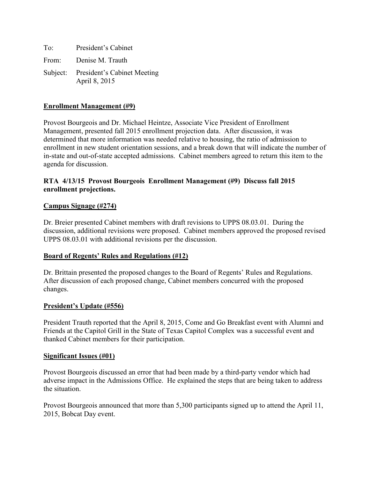To: President's Cabinet From: Denise M. Trauth Subject: President's Cabinet Meeting April 8, 2015

### **Enrollment Management (#9)**

Provost Bourgeois and Dr. Michael Heintze, Associate Vice President of Enrollment Management, presented fall 2015 enrollment projection data. After discussion, it was determined that more information was needed relative to housing, the ratio of admission to enrollment in new student orientation sessions, and a break down that will indicate the number of in-state and out-of-state accepted admissions. Cabinet members agreed to return this item to the agenda for discussion.

## **RTA 4/13/15 Provost Bourgeois Enrollment Management (#9) Discuss fall 2015 enrollment projections.**

### **Campus Signage (#274)**

Dr. Breier presented Cabinet members with draft revisions to UPPS 08.03.01. During the discussion, additional revisions were proposed. Cabinet members approved the proposed revised UPPS 08.03.01 with additional revisions per the discussion.

#### **Board of Regents' Rules and Regulations (#12)**

Dr. Brittain presented the proposed changes to the Board of Regents' Rules and Regulations. After discussion of each proposed change, Cabinet members concurred with the proposed changes.

#### **President's Update (#556)**

President Trauth reported that the April 8, 2015, Come and Go Breakfast event with Alumni and Friends at the Capitol Grill in the State of Texas Capitol Complex was a successful event and thanked Cabinet members for their participation.

#### **Significant Issues (#01)**

Provost Bourgeois discussed an error that had been made by a third-party vendor which had adverse impact in the Admissions Office. He explained the steps that are being taken to address the situation.

Provost Bourgeois announced that more than 5,300 participants signed up to attend the April 11, 2015, Bobcat Day event.